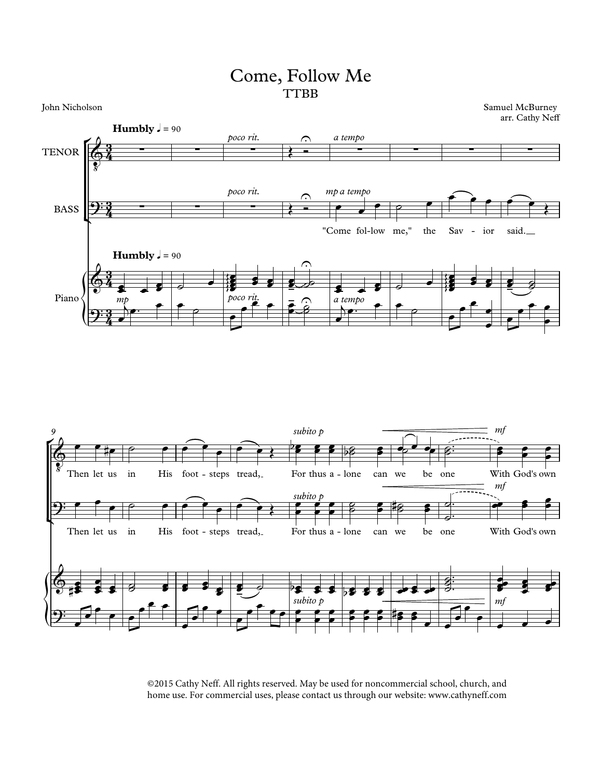## Come, Follow Me **TTBB**

Samuel McBurney<br>arr. Cathy Neff uel McBurney<br>arr. Cathy Neff





©2015 Cathy Neff. All rights reserved. May be used for noncommercial school, church, and home use. For commercial uses, please contact us through our website: www.cathyneff.com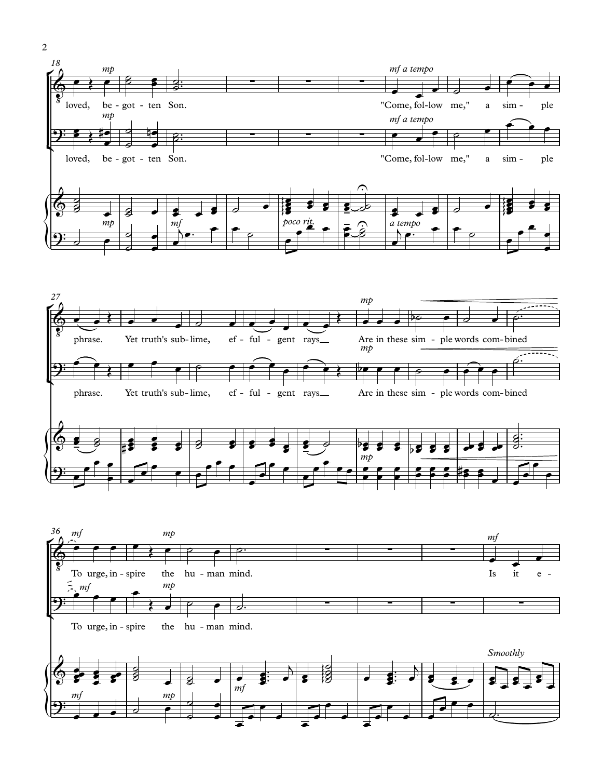





2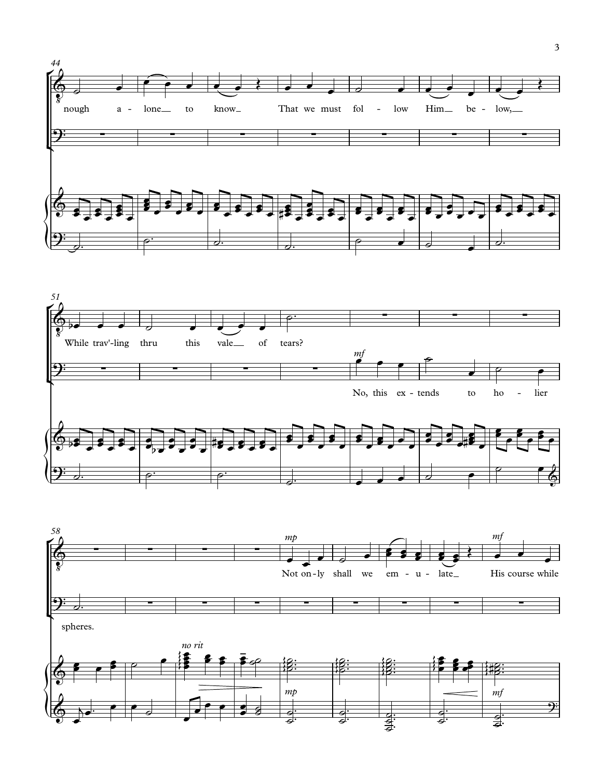



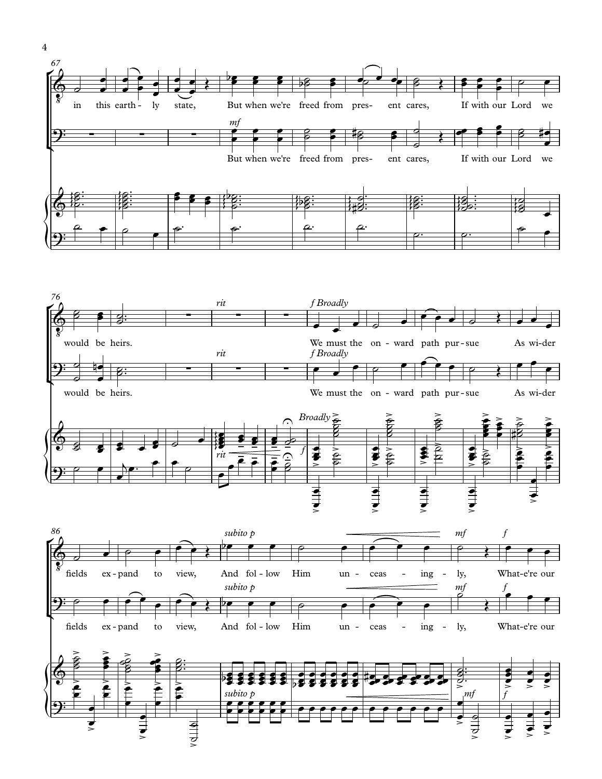







4